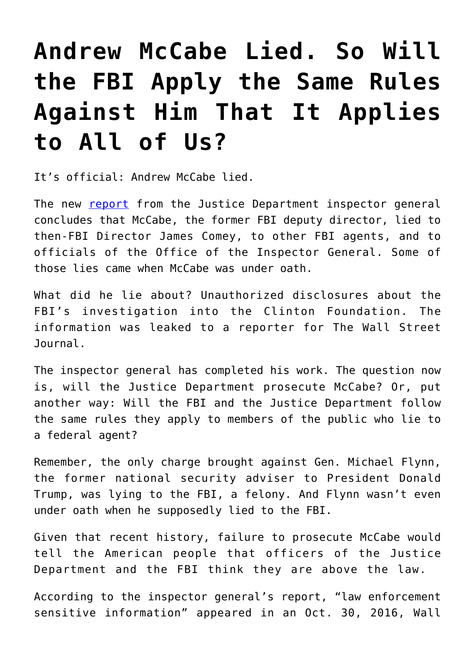## **[Andrew McCabe Lied. So Will](https://intellectualtakeout.org/2018/04/andrew-mccabe-lied-so-will-the-fbi-apply-the-same-rules-against-him-that-it-applies-to-all-of-us/) [the FBI Apply the Same Rules](https://intellectualtakeout.org/2018/04/andrew-mccabe-lied-so-will-the-fbi-apply-the-same-rules-against-him-that-it-applies-to-all-of-us/) [Against Him That It Applies](https://intellectualtakeout.org/2018/04/andrew-mccabe-lied-so-will-the-fbi-apply-the-same-rules-against-him-that-it-applies-to-all-of-us/) [to All of Us?](https://intellectualtakeout.org/2018/04/andrew-mccabe-lied-so-will-the-fbi-apply-the-same-rules-against-him-that-it-applies-to-all-of-us/)**

It's official: Andrew McCabe lied.

The new [report](https://static01.nyt.com/files/2018/us/politics/20180413a-doj-oig-mccabe-report.pdf) from the Justice Department inspector general concludes that McCabe, the former FBI deputy director, lied to then-FBI Director James Comey, to other FBI agents, and to officials of the Office of the Inspector General. Some of those lies came when McCabe was under oath.

What did he lie about? Unauthorized disclosures about the FBI's investigation into the Clinton Foundation. The information was leaked to a reporter for The Wall Street Journal.

The inspector general has completed his work. The question now is, will the Justice Department prosecute McCabe? Or, put another way: Will the FBI and the Justice Department follow the same rules they apply to members of the public who lie to a federal agent?

Remember, the only charge brought against Gen. Michael Flynn, the former national security adviser to President Donald Trump, was lying to the FBI, a felony. And Flynn wasn't even under oath when he supposedly lied to the FBI.

Given that recent history, failure to prosecute McCabe would tell the American people that officers of the Justice Department and the FBI think they are above the law.

According to the inspector general's report, "law enforcement sensitive information" appeared in an Oct. 30, 2016, Wall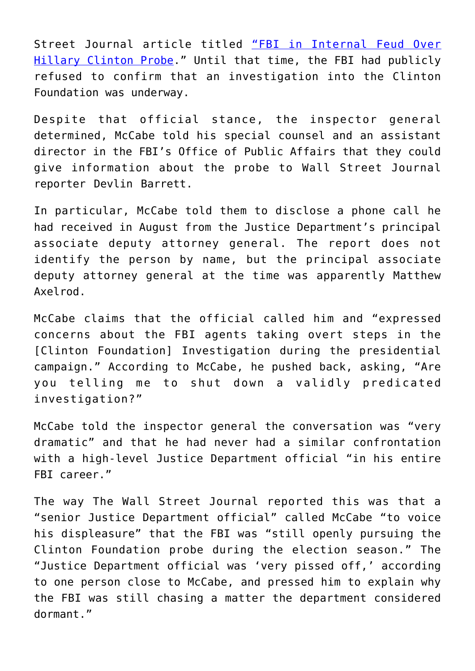Street Journal article titled ["FBI in Internal Feud Over](https://www.wsj.com/articles/laptop-may-include-thousands-of-emails-linked-to-hillary-clintons-private-server-1477854957) [Hillary Clinton Probe.](https://www.wsj.com/articles/laptop-may-include-thousands-of-emails-linked-to-hillary-clintons-private-server-1477854957)" Until that time, the FBI had publicly refused to confirm that an investigation into the Clinton Foundation was underway.

Despite that official stance, the inspector general determined, McCabe told his special counsel and an assistant director in the FBI's Office of Public Affairs that they could give information about the probe to Wall Street Journal reporter Devlin Barrett.

In particular, McCabe told them to disclose a phone call he had received in August from the Justice Department's principal associate deputy attorney general. The report does not identify the person by name, but the principal associate deputy attorney general at the time was apparently Matthew Axelrod.

McCabe claims that the official called him and "expressed concerns about the FBI agents taking overt steps in the [Clinton Foundation] Investigation during the presidential campaign." According to McCabe, he pushed back, asking, "Are you telling me to shut down a validly predicated investigation?"

McCabe told the inspector general the conversation was "very dramatic" and that he had never had a similar confrontation with a high-level Justice Department official "in his entire FBI career."

The way The Wall Street Journal reported this was that a "senior Justice Department official" called McCabe "to voice his displeasure" that the FBI was "still openly pursuing the Clinton Foundation probe during the election season." The "Justice Department official was 'very pissed off,' according to one person close to McCabe, and pressed him to explain why the FBI was still chasing a matter the department considered dormant."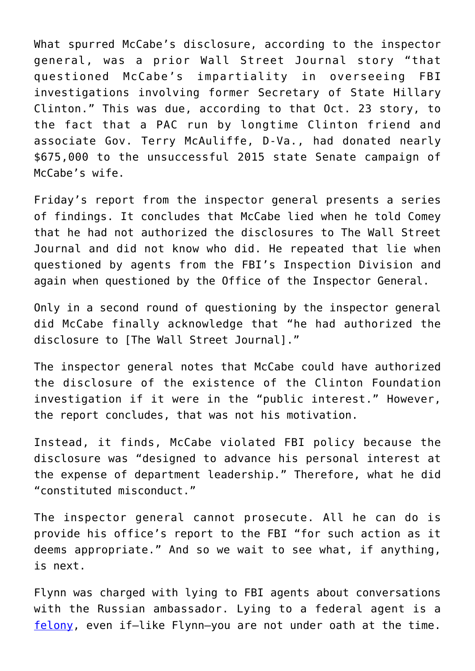What spurred McCabe's disclosure, according to the inspector general, was a prior Wall Street Journal story "that questioned McCabe's impartiality in overseeing FBI investigations involving former Secretary of State Hillary Clinton." This was due, according to that Oct. 23 story, to the fact that a PAC run by longtime Clinton friend and associate Gov. Terry McAuliffe, D-Va., had donated nearly \$675,000 to the unsuccessful 2015 state Senate campaign of McCabe's wife.

Friday's report from the inspector general presents a series of findings. It concludes that McCabe lied when he told Comey that he had not authorized the disclosures to The Wall Street Journal and did not know who did. He repeated that lie when questioned by agents from the FBI's Inspection Division and again when questioned by the Office of the Inspector General.

Only in a second round of questioning by the inspector general did McCabe finally acknowledge that "he had authorized the disclosure to [The Wall Street Journal]."

The inspector general notes that McCabe could have authorized the disclosure of the existence of the Clinton Foundation investigation if it were in the "public interest." However, the report concludes, that was not his motivation.

Instead, it finds, McCabe violated FBI policy because the disclosure was "designed to advance his personal interest at the expense of department leadership." Therefore, what he did "constituted misconduct."

The inspector general cannot prosecute. All he can do is provide his office's report to the FBI "for such action as it deems appropriate." And so we wait to see what, if anything, is next.

Flynn was charged with lying to FBI agents about conversations with the Russian ambassador. Lying to a federal agent is a [felony,](https://www.law.cornell.edu/uscode/text/18/1001) even if-like Flynn-you are not under oath at the time.